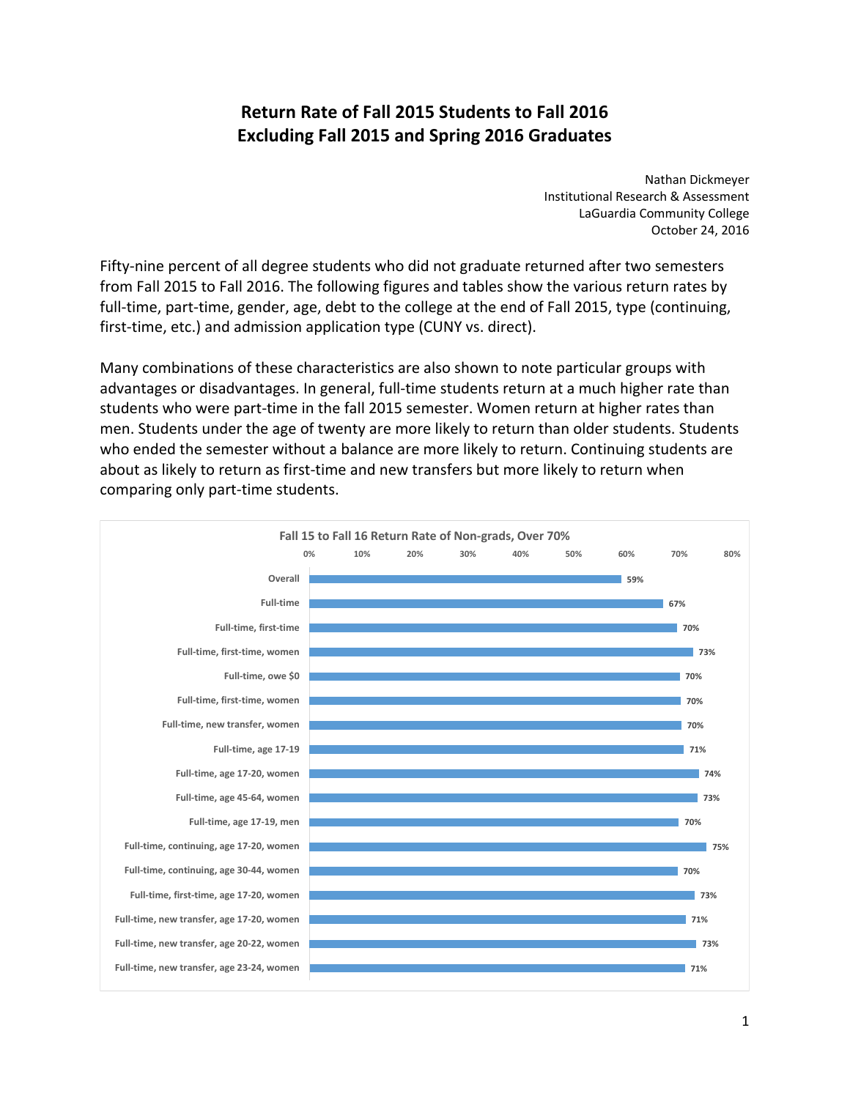# **Return Rate of Fall 2015 Students to Fall 2016 Excluding Fall 2015 and Spring 2016 Graduates**

 Nathan Dickmeyer Institutional Research & Assessment LaGuardia Community College October 24, 2016

Fifty-nine percent of all degree students who did not graduate returned after two semesters from Fall 2015 to Fall 2016. The following figures and tables show the various return rates by full‐time, part‐time, gender, age, debt to the college at the end of Fall 2015, type (continuing, first‐time, etc.) and admission application type (CUNY vs. direct).

 Many combinations of these characteristics are also shown to note particular groups with advantages or disadvantages. In general, full‐time students return at a much higher rate than students who were part‐time in the fall 2015 semester. Women return at higher rates than men. Students under the age of twenty are more likely to return than older students. Students who ended the semester without a balance are more likely to return. Continuing students are about as likely to return as first‐time and new transfers but more likely to return when comparing only part‐time students.

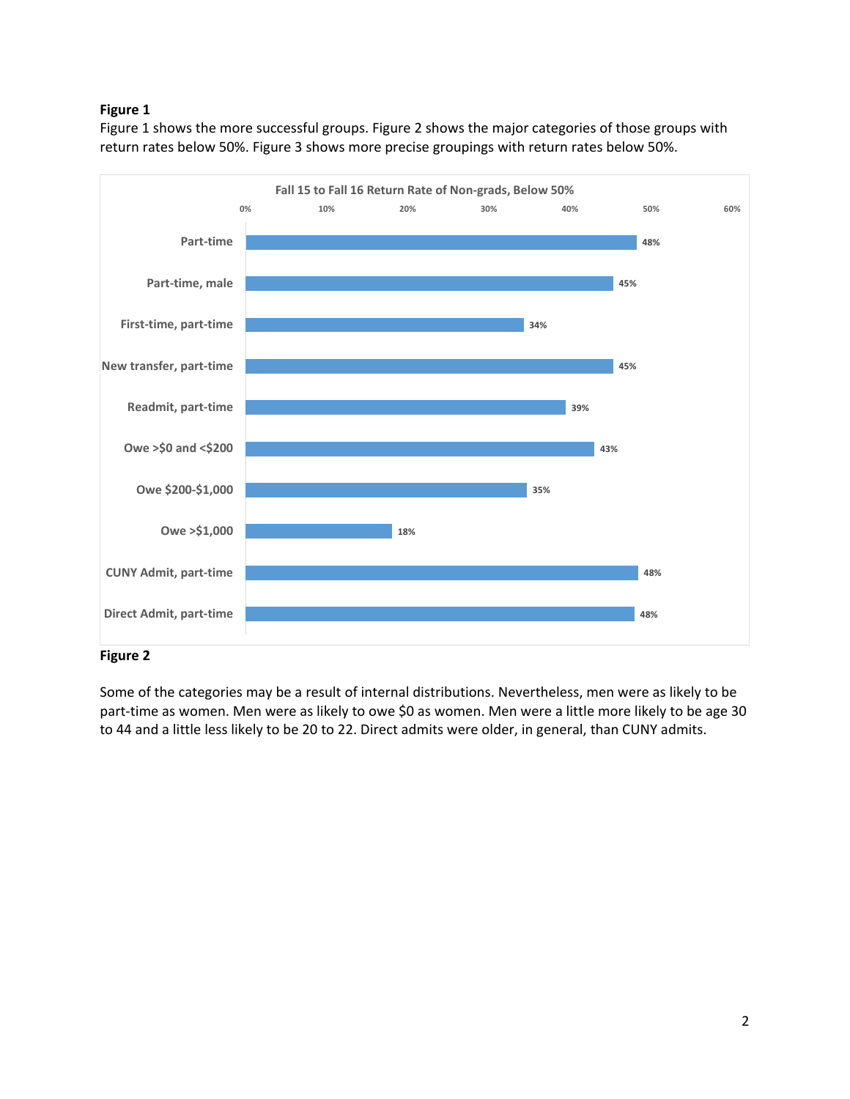# **Figure 1**

 Figure 1 shows the more successful groups. Figure 2 shows the major categories of those groups with return rates below 50%. Figure 3 shows more precise groupings with return rates below 50%.



#### **Figure 2**

 Some of the categories may be a result of internal distributions. Nevertheless, men were as likely to be part‐time as women. Men were as likely to owe \$0 as women. Men were a little more likely to be age 30 to 44 and a little less likely to be 20 to 22. Direct admits were older, in general, than CUNY admits.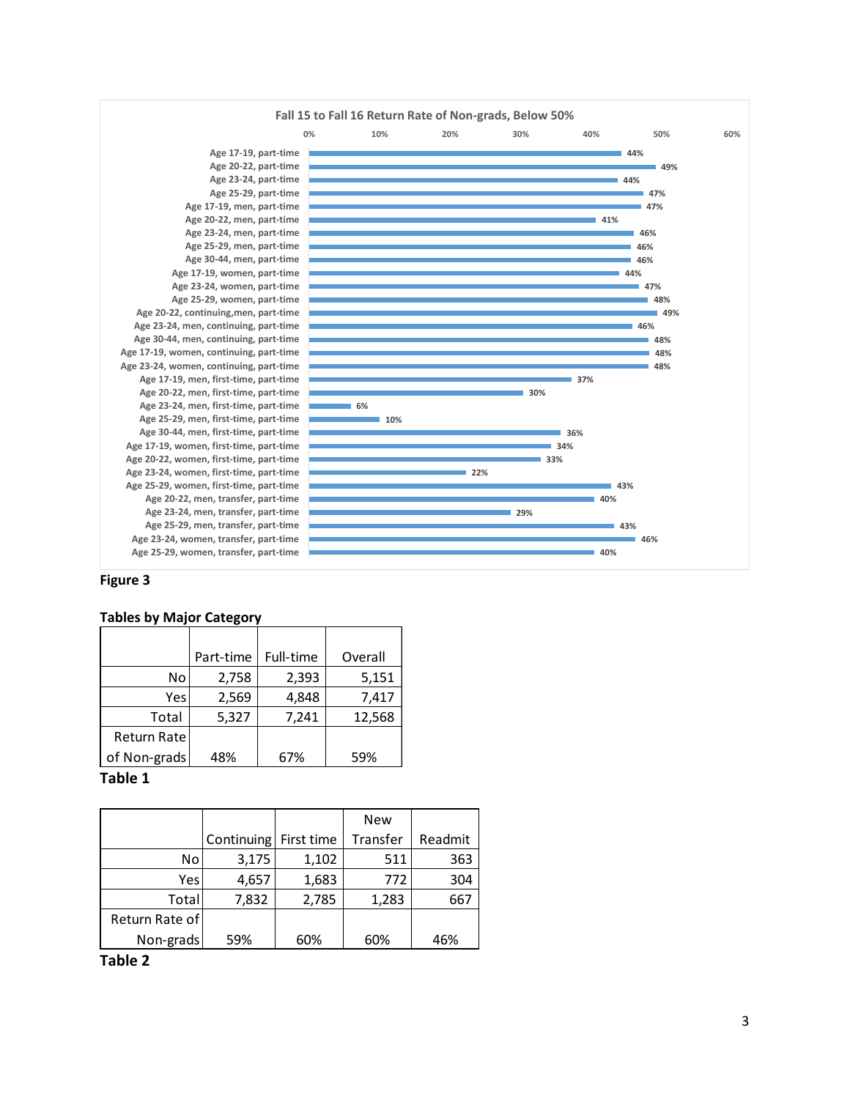

#### **Figure 3**

#### **Tables by Major Category**

|                    | Part-time | Full-time | Overall |
|--------------------|-----------|-----------|---------|
| No                 | 2,758     | 2,393     | 5,151   |
| Yes.               | 2,569     | 4,848     | 7,417   |
| Total              | 5,327     | 7,241     | 12,568  |
| <b>Return Rate</b> |           |           |         |
| of Non-grads       | 48%       | 67%       | 59%     |

#### **Table 1**

|                |                       |       | New      |         |
|----------------|-----------------------|-------|----------|---------|
|                | Continuing First time |       | Transfer | Readmit |
| No             | 3,175                 | 1,102 | 511      | 363     |
| Yes            | 4,657                 | 1,683 | 772      | 304     |
| Total          | 7,832                 | 2,785 | 1,283    | 667     |
| Return Rate of |                       |       |          |         |
| Non-grads      | 59%                   | 60%   | 60%      | 46%     |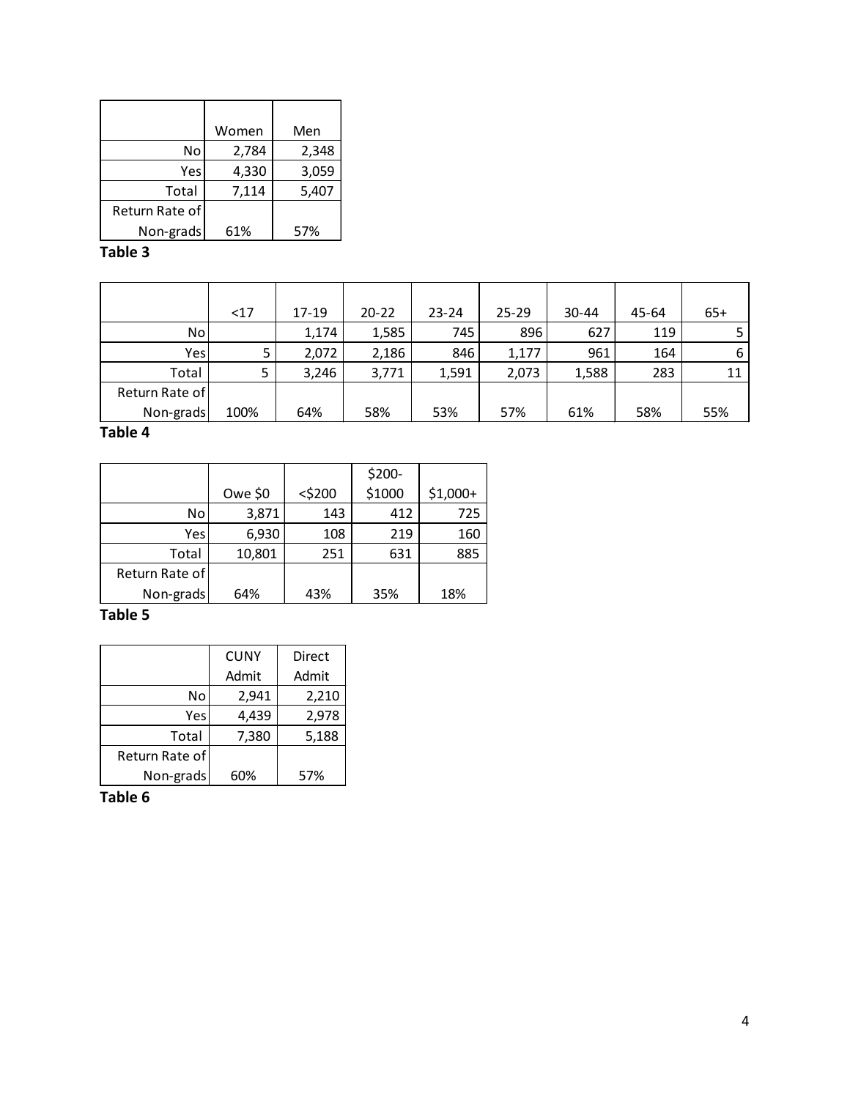|                | Women | Men   |
|----------------|-------|-------|
| No             | 2,784 | 2,348 |
| Yes            | 4,330 | 3,059 |
| Total          | 7,114 | 5,407 |
| Return Rate of |       |       |
| Non-grads      | 61%   | 57%   |

|                | <17  | 17-19 | $20 - 22$ | $23 - 24$ | $25 - 29$ | $30 - 44$ | 45-64 | $65+$ |
|----------------|------|-------|-----------|-----------|-----------|-----------|-------|-------|
| No             |      | 1,174 | 1,585     | 745       | 896       | 627       | 119   |       |
| Yes            |      | 2,072 | 2,186     | 846       | 1,177     | 961       | 164   | 6     |
| Total          |      | 3,246 | 3,771     | 1,591     | 2,073     | 1,588     | 283   | 11    |
| Return Rate of |      |       |           |           |           |           |       |       |
| Non-grads      | 100% | 64%   | 58%       | 53%       | 57%       | 61%       | 58%   | 55%   |

#### **Table 4**

|                |          |           | \$200- |           |
|----------------|----------|-----------|--------|-----------|
|                | Owe $$0$ | $<$ \$200 | \$1000 | $$1,000+$ |
| No             | 3,871    | 143       | 412    | 725       |
| Yes            | 6,930    | 108       | 219    | 160       |
| Total          | 10,801   | 251       | 631    | 885       |
| Return Rate of |          |           |        |           |
| Non-grads      | 64%      | 43%       | 35%    | 18%       |

#### **Table 5**

|                | <b>CUNY</b> | Direct |
|----------------|-------------|--------|
|                | Admit       | Admit  |
| No             | 2,941       | 2,210  |
| Yes            | 4,439       | 2,978  |
| Total          | 7,380       | 5,188  |
| Return Rate of |             |        |
| Non-grads      | 60%         | 57%    |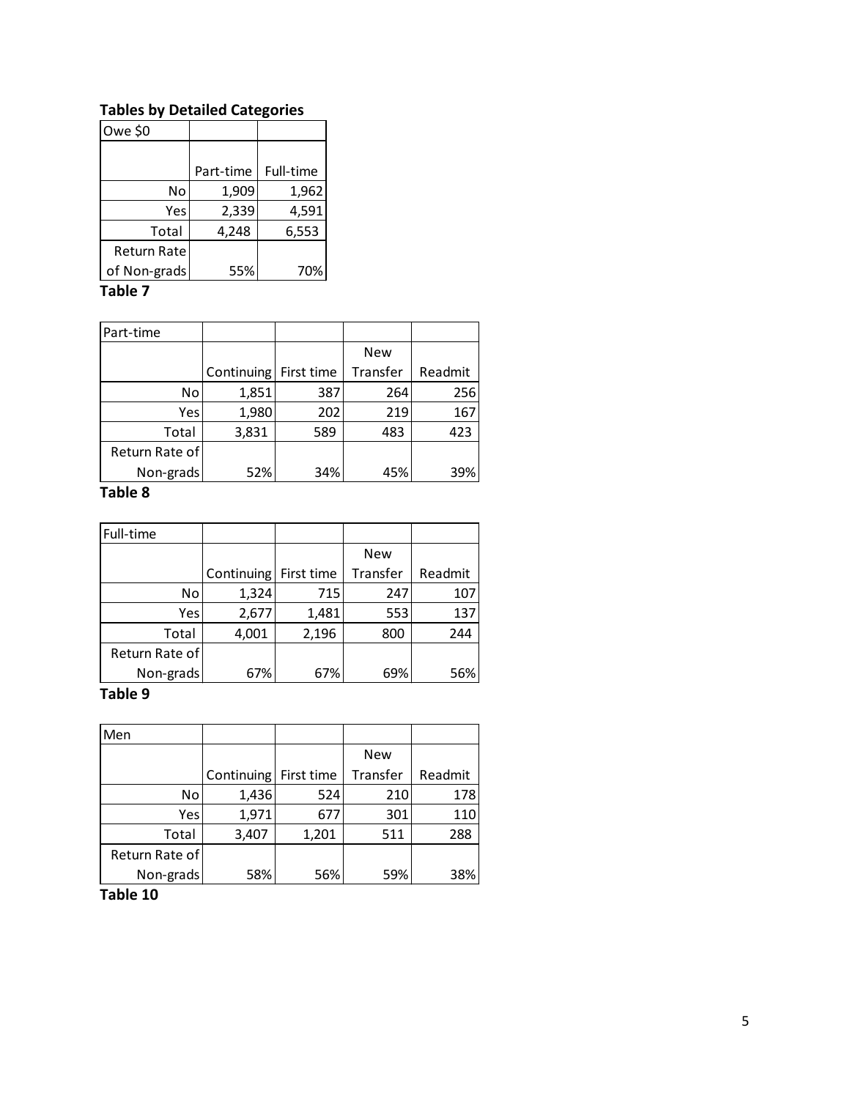# **Tables by Detailed Categories**

| Owe \$0      |           |           |
|--------------|-----------|-----------|
|              |           |           |
|              | Part-time | Full-time |
| No           | 1,909     | 1,962     |
| Yes          | 2,339     | 4,591     |
| Total        | 4,248     | 6,553     |
| Return Rate  |           |           |
| of Non-grads | 55%       | 70%       |

### **Table 7**

| Part-time      |            |            |            |         |
|----------------|------------|------------|------------|---------|
|                |            |            | <b>New</b> |         |
|                | Continuing | First time | Transfer   | Readmit |
| No.            | 1,851      | 387        | 264        | 256     |
| Yes            | 1,980      | 202        | 219        | 167     |
| Total          | 3,831      | 589        | 483        | 423     |
| Return Rate of |            |            |            |         |
| Non-grads      | 52%        | 34%        | 45%        | 39%     |

### **Table 8**

| Full-time      |            |            |            |         |
|----------------|------------|------------|------------|---------|
|                |            |            | <b>New</b> |         |
|                | Continuing | First time | Transfer   | Readmit |
| No             | 1,324      | 715        | 247        | 107     |
| Yes            | 2,677      | 1,481      | 553        | 137     |
| Total          | 4,001      | 2,196      | 800        | 244     |
| Return Rate of |            |            |            |         |
| Non-grads      | 67%        | 67%        | 69%        | 56%     |

#### **Table 9**

| Men            |                       |       |            |         |
|----------------|-----------------------|-------|------------|---------|
|                |                       |       | <b>New</b> |         |
|                | Continuing First time |       | Transfer   | Readmit |
| No             | 1,436                 | 524   | 210        | 178     |
| Yes            | 1,971                 | 677   | 301        | 110     |
| Total          | 3,407                 | 1,201 | 511        | 288     |
| Return Rate of |                       |       |            |         |
| Non-grads      | 58%                   | 56%   | 59%        | 38%     |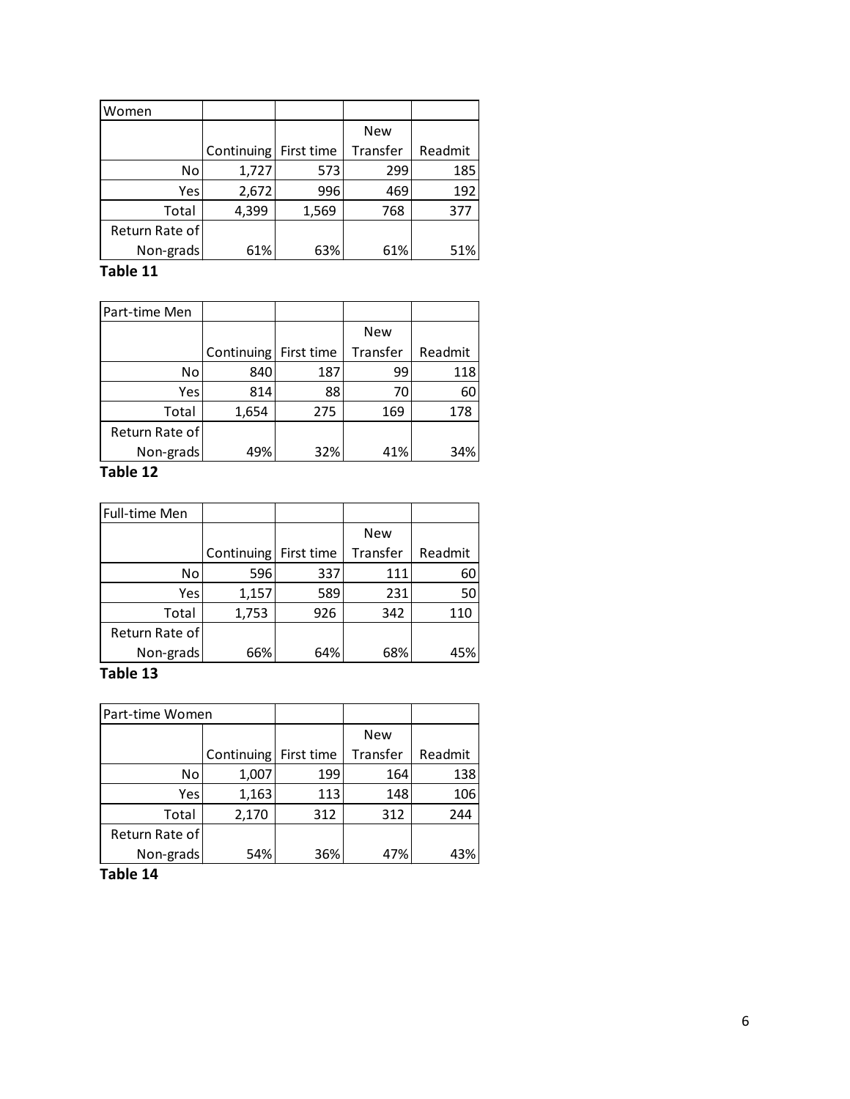| Women          |            |            |            |         |
|----------------|------------|------------|------------|---------|
|                |            |            | <b>New</b> |         |
|                | Continuing | First time | Transfer   | Readmit |
| No             | 1,727      | 573        | 299        | 185     |
| Yes            | 2,672      | 996        | 469        | 192     |
| Total          | 4,399      | 1,569      | 768        | 377     |
| Return Rate of |            |            |            |         |
| Non-grads      | 61%        | 63%        | 61%        | 51%     |

| Part-time Men  |                       |     |            |         |
|----------------|-----------------------|-----|------------|---------|
|                |                       |     | <b>New</b> |         |
|                | Continuing First time |     | Transfer   | Readmit |
| No             | 840                   | 187 | 99         | 118     |
| Yes            | 814                   | 88  | 70         | 60      |
| Total          | 1,654                 | 275 | 169        | 178     |
| Return Rate of |                       |     |            |         |
| Non-grads      | 49%                   | 32% | 41%        | 34%     |

#### **Table 12**

| Full-time Men  |            |            |            |         |
|----------------|------------|------------|------------|---------|
|                |            |            | <b>New</b> |         |
|                | Continuing | First time | Transfer   | Readmit |
| No             | 596        | 337        | 111        | 60      |
| Yes            | 1,157      | 589        | 231        | 50      |
| Total          | 1,753      | 926        | 342        | 110     |
| Return Rate of |            |            |            |         |
| Non-grads      | 66%        | 64%        | 68%        | 45%     |

# **Table 13**

| Part-time Women |                       |     |            |         |
|-----------------|-----------------------|-----|------------|---------|
|                 |                       |     | <b>New</b> |         |
|                 | Continuing First time |     | Transfer   | Readmit |
| No              | 1,007                 | 199 | 164        | 138     |
| Yesl            | 1,163                 | 113 | 148        | 106     |
| Total           | 2,170                 | 312 | 312        | 244     |
| Return Rate of  |                       |     |            |         |
| Non-grads       | 54%                   | 36% | 47%        | 43%     |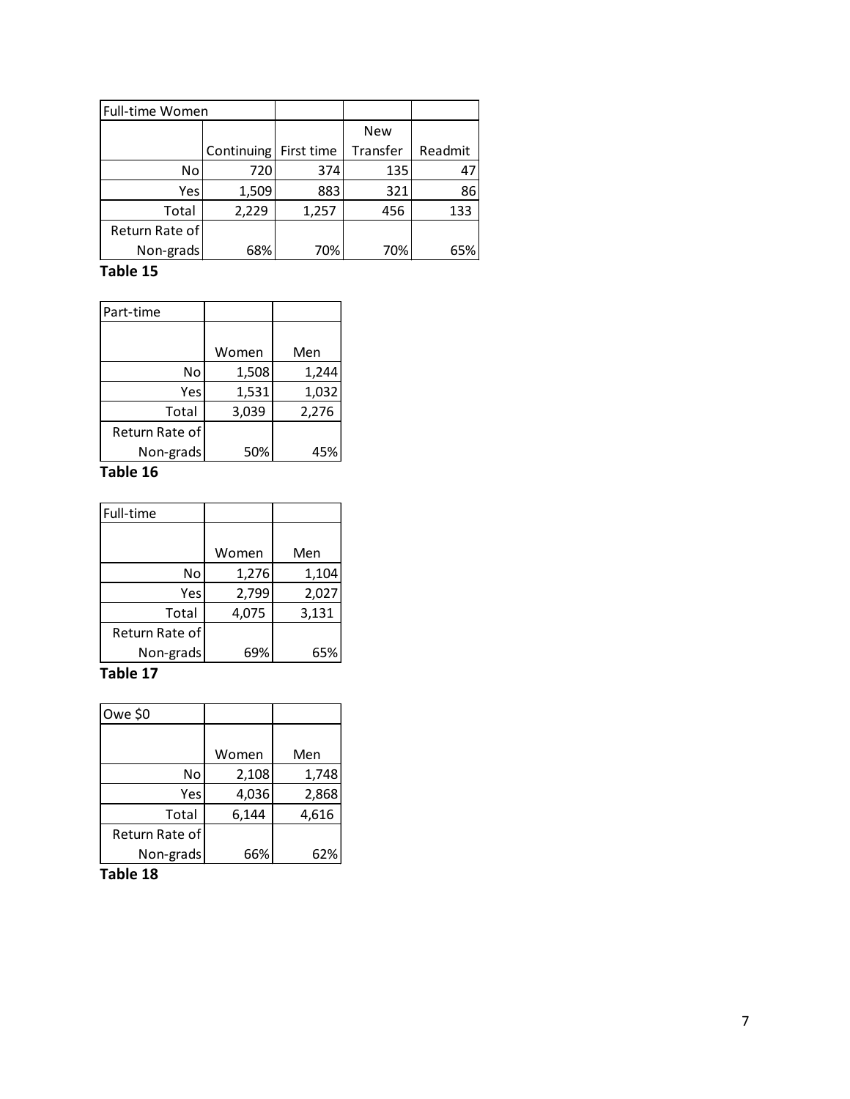| Full-time Women |            |            |            |         |
|-----------------|------------|------------|------------|---------|
|                 |            |            | <b>New</b> |         |
|                 | Continuing | First time | Transfer   | Readmit |
| No              | 720        | 374        | 135        | 47      |
| Yes             | 1,509      | 883        | 321        | 86      |
| Total           | 2,229      | 1,257      | 456        | 133     |
| Return Rate of  |            |            |            |         |
| Non-grads       | 68%        | 70%        | 70%        | 65%     |

| Part-time      |       |       |
|----------------|-------|-------|
|                |       |       |
|                | Women | Men   |
| No             | 1,508 | 1,244 |
| Yes            | 1,531 | 1,032 |
| Total          | 3,039 | 2,276 |
| Return Rate of |       |       |
| Non-grads      | 50%   | 45%   |
|                |       |       |

#### **Table 16**

| Full-time      |       |       |
|----------------|-------|-------|
|                |       |       |
|                | Women | Men   |
| No             | 1,276 | 1,104 |
| Yes            | 2,799 | 2,027 |
| Total          | 4,075 | 3,131 |
| Return Rate of |       |       |
| Non-grads      | 69%   | 65%   |

# **Table 17**

| Owe \$0        |       |       |
|----------------|-------|-------|
|                |       |       |
|                | Women | Men   |
| No             | 2,108 | 1,748 |
| Yes            | 4,036 | 2,868 |
| Total          | 6,144 | 4,616 |
| Return Rate of |       |       |
| Non-grads      | 66%   | 62%   |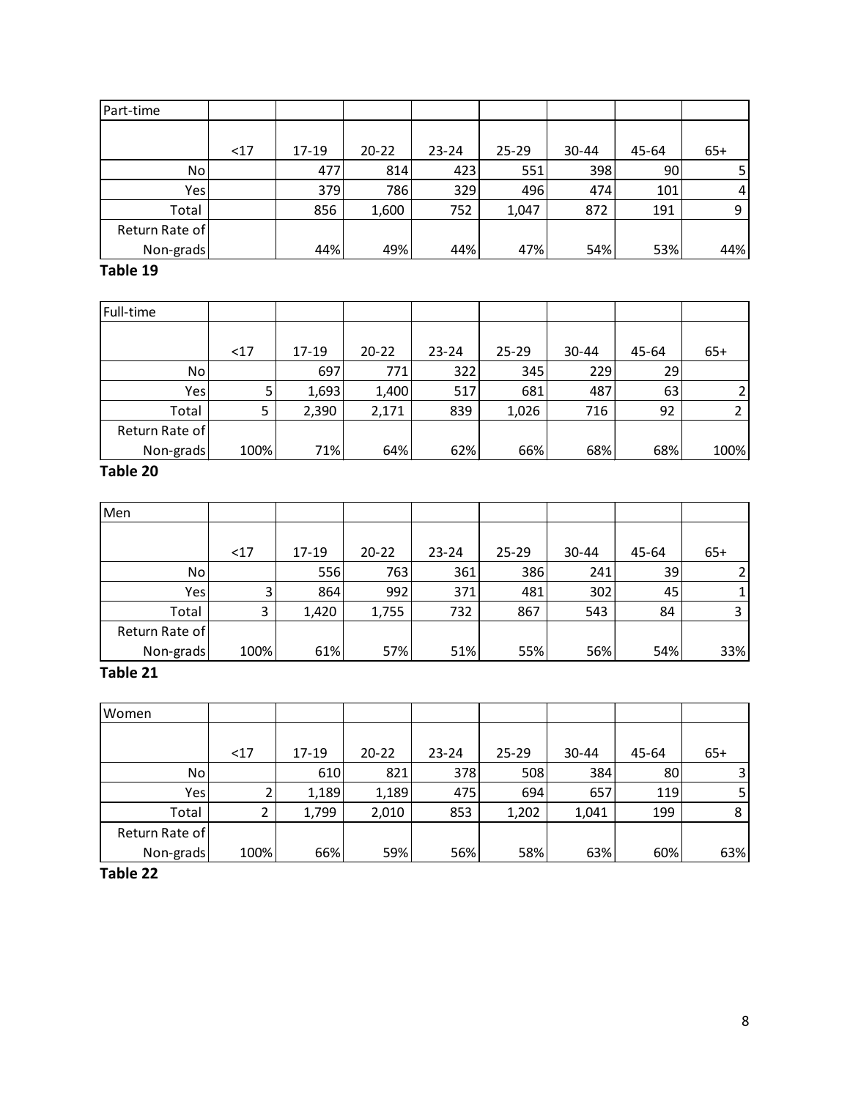| Part-time      |     |       |           |           |           |           |       |       |
|----------------|-----|-------|-----------|-----------|-----------|-----------|-------|-------|
|                |     |       |           |           |           |           |       |       |
|                | <17 | 17-19 | $20 - 22$ | $23 - 24$ | $25 - 29$ | $30 - 44$ | 45-64 | $65+$ |
| No             |     | 477   | 814       | 423       | 551       | 398       | 90    | 5     |
| Yes            |     | 379   | 786       | 329       | 496       | 474       | 101   | 4     |
| Total          |     | 856   | 1,600     | 752       | 1,047     | 872       | 191   | 9     |
| Return Rate of |     |       |           |           |           |           |       |       |
| Non-grads      |     | 44%   | 49%       | 44%       | 47%       | 54%       | 53%   | 44%   |

| Full-time      |      |       |           |           |           |           |       |       |
|----------------|------|-------|-----------|-----------|-----------|-----------|-------|-------|
|                |      |       |           |           |           |           |       |       |
|                | $17$ | 17-19 | $20 - 22$ | $23 - 24$ | $25 - 29$ | $30 - 44$ | 45-64 | $65+$ |
| No             |      | 697   | 771       | 322       | 345       | 229       | 29    |       |
| Yes            |      | 1,693 | 1,400     | 517       | 681       | 487       | 63    |       |
| Total          |      | 2,390 | 2,171     | 839       | 1,026     | 716       | 92    |       |
| Return Rate of |      |       |           |           |           |           |       |       |
| Non-grads      | 100% | 71%   | 64%       | 62%       | 66%       | 68%       | 68%   | 100%  |
| .              |      |       |           |           |           |           |       |       |

# **Table 20**

| Men            |      |           |           |           |           |           |       |       |
|----------------|------|-----------|-----------|-----------|-----------|-----------|-------|-------|
|                | <17  | $17 - 19$ | $20 - 22$ | $23 - 24$ | $25 - 29$ | $30 - 44$ | 45-64 | $65+$ |
| No             |      | 556       | 763       | 361       | 386       | 241       | 39    |       |
| Yes            | Э    | 864       | 992       | 371       | 481       | 302       | 45    |       |
| Total          | 3    | 1,420     | 1,755     | 732       | 867       | 543       | 84    | ς     |
| Return Rate of |      |           |           |           |           |           |       |       |
| Non-grads      | 100% | 61%       | 57%       | 51%       | 55%       | 56%       | 54%   | 33%   |

# **Table 21**

| Women          |      |           |           |           |           |           |       |       |
|----------------|------|-----------|-----------|-----------|-----------|-----------|-------|-------|
|                | <17  | $17 - 19$ | $20 - 22$ | $23 - 24$ | $25 - 29$ | $30 - 44$ | 45-64 | $65+$ |
| No.            |      | 610       | 821       | 378       | 508       | 384       | 80    | 3     |
| Yes            |      | 1,189     | 1,189     | 475       | 694       | 657       | 119   | 5     |
| Total          |      | 1,799     | 2,010     | 853       | 1,202     | 1,041     | 199   | 8     |
| Return Rate of |      |           |           |           |           |           |       |       |
| Non-grads      | 100% | 66%       | 59%       | 56%       | 58%       | 63%       | 60%   | 63%   |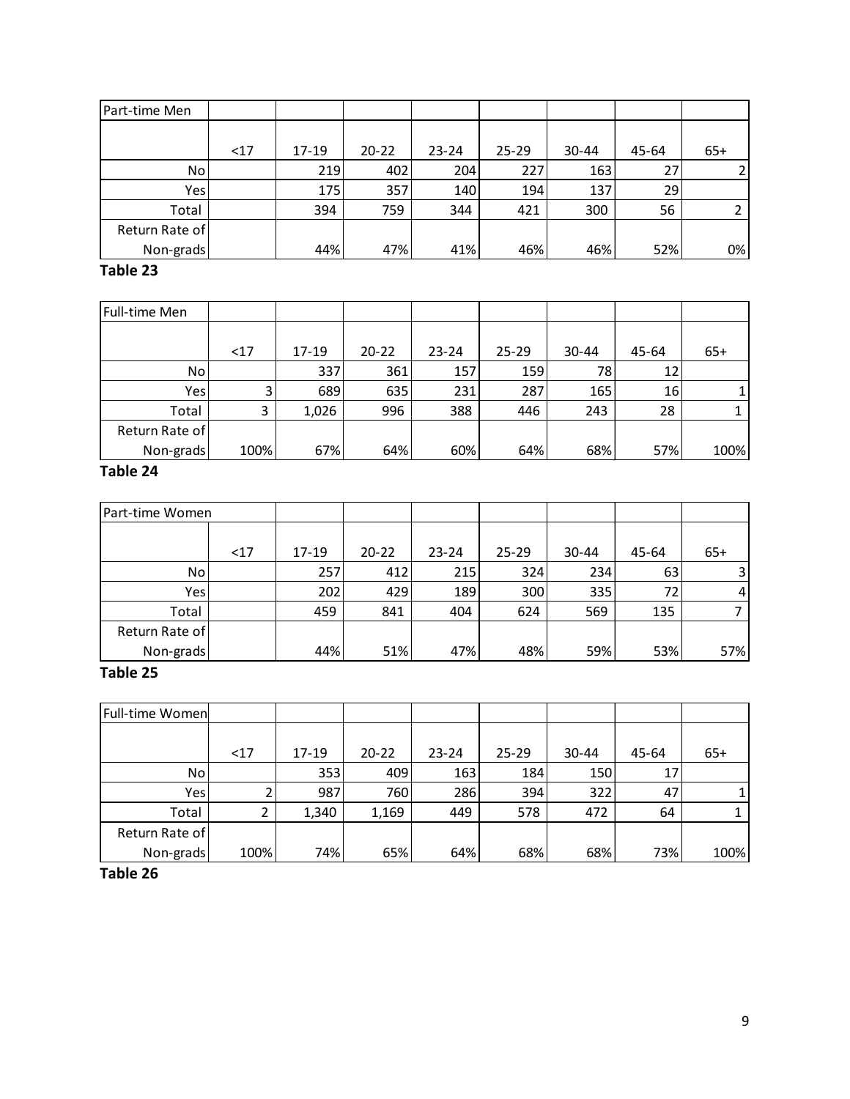| Part-time Men  |     |           |           |           |           |           |       |       |
|----------------|-----|-----------|-----------|-----------|-----------|-----------|-------|-------|
|                |     |           |           |           |           |           |       |       |
|                | <17 | $17 - 19$ | $20 - 22$ | $23 - 24$ | $25 - 29$ | $30 - 44$ | 45-64 | $65+$ |
| No             |     | 219       | 402       | 204       | 227       | 163       | 27    |       |
| Yes            |     | 175       | 357       | 140       | 194       | 137       | 29    |       |
| Total          |     | 394       | 759       | 344       | 421       | 300       | 56    |       |
| Return Rate of |     |           |           |           |           |           |       |       |
| Non-grads      |     | 44%       | 47%       | 41%       | 46%       | 46%       | 52%   | 0%    |

| Full-time Men  |      |       |           |           |           |       |                 |       |
|----------------|------|-------|-----------|-----------|-----------|-------|-----------------|-------|
|                | $17$ | 17-19 | $20 - 22$ | $23 - 24$ | $25 - 29$ | 30-44 | 45-64           | $65+$ |
| No             |      | 337   | 361       | 157       | 159       | 78    | 12 <sub>1</sub> |       |
| Yes            |      | 689   | 635       | 231       | 287       | 165   | 16              |       |
| Total          | 3    | 1,026 | 996       | 388       | 446       | 243   | 28              |       |
| Return Rate of |      |       |           |           |           |       |                 |       |
| Non-grads      | 100% | 67%   | 64%       | 60%       | 64%       | 68%   | 57%             | 100%  |

# **Table 24**

| Part-time Women |     |           |           |           |           |           |       |                |
|-----------------|-----|-----------|-----------|-----------|-----------|-----------|-------|----------------|
|                 | <17 | $17 - 19$ | $20 - 22$ | $23 - 24$ | $25 - 29$ | $30 - 44$ | 45-64 | $65+$          |
| No.             |     | 257       | 412       | 215       | 324       | 234       | 63    | $\overline{3}$ |
| Yes             |     | 202       | 429       | 189       | 300       | 335       | 72    | 4              |
| Total           |     | 459       | 841       | 404       | 624       | 569       | 135   |                |
| Return Rate of  |     |           |           |           |           |           |       |                |
| Non-grads       |     | 44%       | 51%       | 47%       | 48%       | 59%       | 53%   | 57%            |

# **Table 25**

| <b>Full-time Women</b> |      |           |           |           |           |       |       |       |
|------------------------|------|-----------|-----------|-----------|-----------|-------|-------|-------|
|                        |      |           |           |           |           |       |       |       |
|                        | <17  | $17 - 19$ | $20 - 22$ | $23 - 24$ | $25 - 29$ | 30-44 | 45-64 | $65+$ |
| No.                    |      | 353       | 409       | 163       | 184       | 150   | 17    |       |
| Yes <sub>1</sub>       |      | 987       | 760       | 286       | 394       | 322   | 47    |       |
| Total                  |      | 1,340     | 1,169     | 449       | 578       | 472   | 64    |       |
| Return Rate of         |      |           |           |           |           |       |       |       |
| Non-grads              | 100% | 74%       | 65%       | 64%       | 68%       | 68%   | 73%   | 100%  |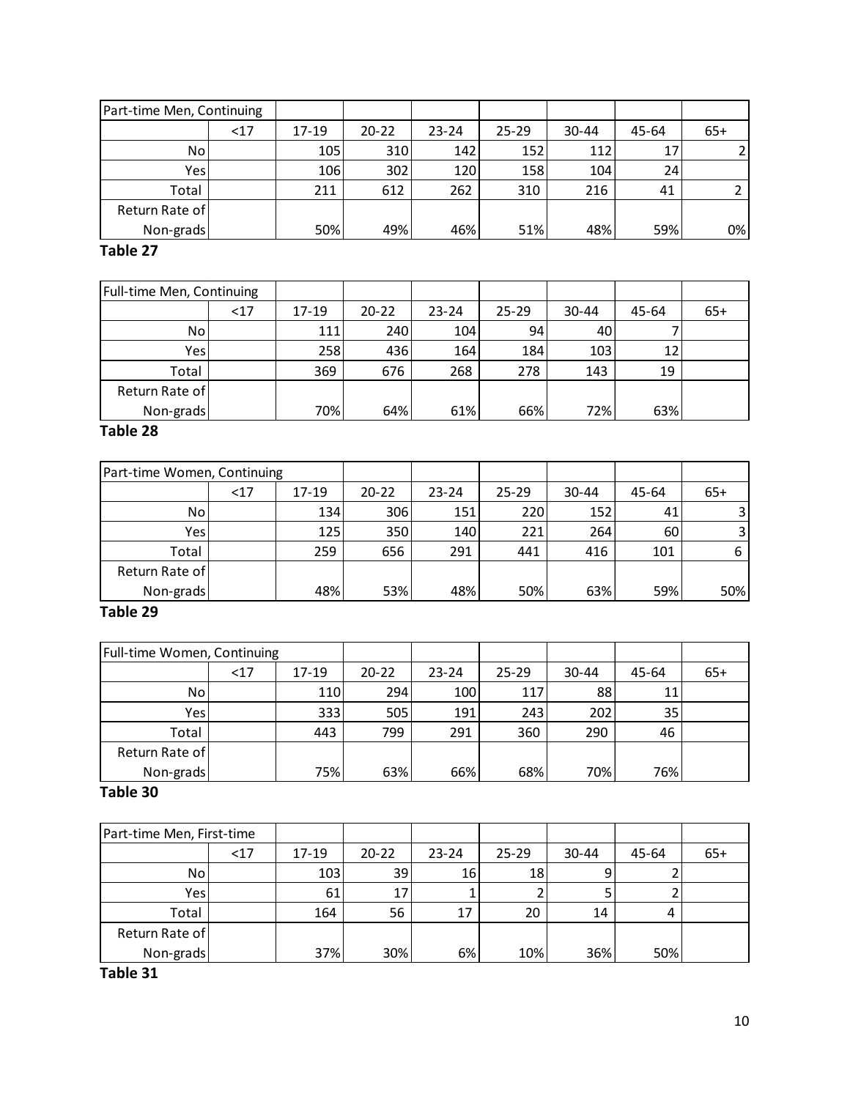| Part-time Men, Continuing |     |         |                  |           |           |           |       |       |
|---------------------------|-----|---------|------------------|-----------|-----------|-----------|-------|-------|
|                           | <17 | $17-19$ | $20 - 22$        | $23 - 24$ | $25 - 29$ | $30 - 44$ | 45-64 | $65+$ |
| No.                       |     | 105     | 310 <sub>l</sub> | 142       | 152       | 112       | 17    |       |
| Yes                       |     | 106     | 302              | 120       | 158       | 104       | 24    |       |
| Total                     |     | 211     | 612              | 262       | 310       | 216       | 41    |       |
| Return Rate of            |     |         |                  |           |           |           |       |       |
| Non-grads                 |     | 50%     | 49%              | 46%       | 51%       | 48%       | 59%   | 0%    |

| Full-time Men, Continuing |      |       |           |           |           |           |       |       |
|---------------------------|------|-------|-----------|-----------|-----------|-----------|-------|-------|
|                           | $17$ | 17-19 | $20 - 22$ | $23 - 24$ | $25 - 29$ | $30 - 44$ | 45-64 | $65+$ |
| No.                       |      | 111   | 240       | 104       | 94        | 40        |       |       |
| Yes                       |      | 258   | 436       | 164       | 184       | 103       | 12    |       |
| Total                     |      | 369   | 676       | 268       | 278       | 143       | 19    |       |
| Return Rate of            |      |       |           |           |           |           |       |       |
| Non-grads                 |      | 70%   | 64%       | 61%       | 66%       | 72%       | 63%   |       |

# **Table 28**

| Part-time Women, Continuing |     |           |           |           |           |           |       |                |
|-----------------------------|-----|-----------|-----------|-----------|-----------|-----------|-------|----------------|
|                             | <17 | $17 - 19$ | $20 - 22$ | $23 - 24$ | $25 - 29$ | $30 - 44$ | 45-64 | $65+$          |
| No.                         |     | 134       | 306       | 151       | 220       | 152       | 41    |                |
| Yes                         |     | 125       | 350       | 140       | 221       | 264       | 60    | $\overline{3}$ |
| Total                       |     | 259       | 656       | 291       | 441       | 416       | 101   | 6              |
| Return Rate of              |     |           |           |           |           |           |       |                |
| Non-grads                   |     | 48%       | 53%       | 48%       | 50%       | 63%       | 59%   | 50%            |

# **Table 29**

| Full-time Women, Continuing |      |       |           |           |           |           |       |       |
|-----------------------------|------|-------|-----------|-----------|-----------|-----------|-------|-------|
|                             | $17$ | 17-19 | $20 - 22$ | $23 - 24$ | $25 - 29$ | $30 - 44$ | 45-64 | $65+$ |
| No                          |      | 110   | 294       | 100       | 117       | 88        | 11    |       |
| Yes                         |      | 333   | 505       | 191       | 243       | 202       | 35    |       |
| Total                       |      | 443   | 799       | 291       | 360       | 290       | 46    |       |
| Return Rate of              |      |       |           |           |           |           |       |       |
| Non-grads                   |      | 75%   | 63%       | 66%       | 68%       | 70%       | 76%   |       |

# **Table 30**

| Part-time Men, First-time |     |           |           |           |           |           |       |       |
|---------------------------|-----|-----------|-----------|-----------|-----------|-----------|-------|-------|
|                           | <17 | $17 - 19$ | $20 - 22$ | $23 - 24$ | $25 - 29$ | $30 - 44$ | 45-64 | $65+$ |
| No                        |     | 103       | 39        | 16        | 18        |           |       |       |
| Yes                       |     | 61        | 17        |           |           |           |       |       |
| Total                     |     | 164       | 56        | 17        | 20        | 14        | 4     |       |
| Return Rate of            |     |           |           |           |           |           |       |       |
| Non-grads                 |     | 37%       | 30%       | 6%        | 10%       | 36%       | 50%   |       |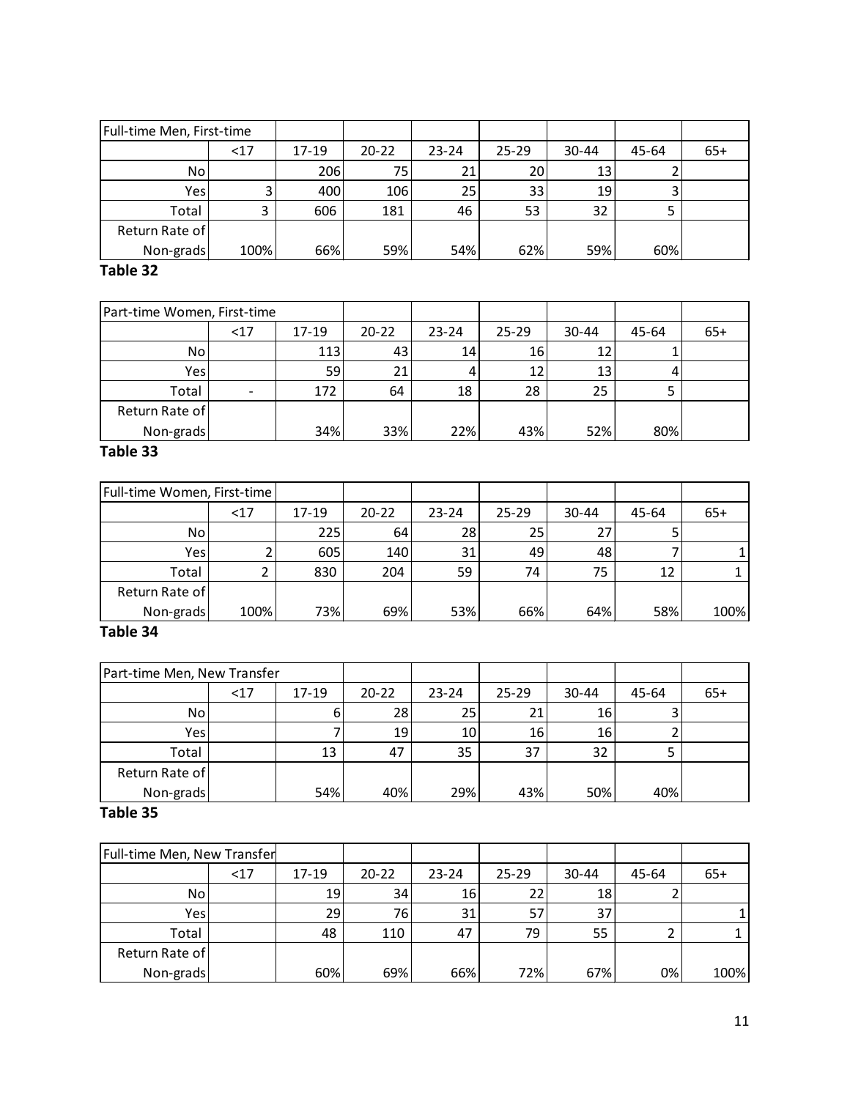| Full-time Men, First-time |      |           |           |           |           |           |       |       |
|---------------------------|------|-----------|-----------|-----------|-----------|-----------|-------|-------|
|                           | $17$ | $17 - 19$ | $20 - 22$ | $23 - 24$ | $25 - 29$ | $30 - 44$ | 45-64 | $65+$ |
| No.                       |      | 206       | 75        | 21        | 20        | 13        |       |       |
| Yes                       |      | 400       | 106       | 25        | 33        | 19        |       |       |
| Total                     |      | 606       | 181       | 46        | 53        | 32        |       |       |
| Return Rate of            |      |           |           |           |           |           |       |       |
| Non-grads                 | 100% | 66%       | 59%       | 54%       | 62%       | 59%       | 60%   |       |

| Part-time Women, First-time |                              |       |           |           |           |           |       |       |
|-----------------------------|------------------------------|-------|-----------|-----------|-----------|-----------|-------|-------|
|                             | $17$                         | 17-19 | $20 - 22$ | $23 - 24$ | $25 - 29$ | $30 - 44$ | 45-64 | $65+$ |
| No.                         |                              | 113   | 43        | 14        | 16        |           |       |       |
| <b>Yes</b>                  |                              | 59    | 21        |           | 12        | 13        |       |       |
| Total                       | $\qquad \qquad \blacksquare$ | 172   | 64        | 18        | 28        | 25        |       |       |
| Return Rate of              |                              |       |           |           |           |           |       |       |
| Non-grads                   |                              | 34%   | 33%       | 22%       | 43%       | 52%       | 80%   |       |

### **Table 33**

| Full-time Women, First-time |      |       |           |           |           |           |       |       |
|-----------------------------|------|-------|-----------|-----------|-----------|-----------|-------|-------|
|                             | $17$ | 17-19 | $20 - 22$ | $23 - 24$ | $25 - 29$ | $30 - 44$ | 45-64 | $65+$ |
| No.                         |      | 225   | 64        | 28 l      | 25        | 27        |       |       |
| Yes                         |      | 605   | 140       | 31        | 49        | 48        |       |       |
| Total                       |      | 830   | 204       | 59        | 74        | 75        | 12    |       |
| Return Rate of              |      |       |           |           |           |           |       |       |
| Non-grads                   | 100% | 73%   | 69%       | 53%       | 66%       | 64%       | 58%   | 100%  |

# **Table 34**

| Part-time Men, New Transfer |     |       |           |           |           |           |       |       |
|-----------------------------|-----|-------|-----------|-----------|-----------|-----------|-------|-------|
|                             | <17 | 17-19 | $20 - 22$ | $23 - 24$ | $25 - 29$ | $30 - 44$ | 45-64 | $65+$ |
| No                          |     | 6     | 28        | 25        | 21        | 16        |       |       |
| Yes <sub>1</sub>            |     |       | 19        | 10        | 16        | 16        |       |       |
| Total                       |     | 13    | 47        | 35        | 37        | 32        |       |       |
| Return Rate of              |     |       |           |           |           |           |       |       |
| Non-grads                   |     | 54%   | 40%       | 29%       | 43%       | 50%       | 40%   |       |

| Full-time Men, New Transfer |     |       |           |           |           |           |       |       |
|-----------------------------|-----|-------|-----------|-----------|-----------|-----------|-------|-------|
|                             | <17 | 17-19 | $20 - 22$ | $23 - 24$ | $25 - 29$ | $30 - 44$ | 45-64 | $65+$ |
| No                          |     | 19    | 34        | 16        | 22        | 18        |       |       |
| Yes                         |     | 29    | 76        | 31        | 57        | 37        |       |       |
| Total                       |     | 48    | 110       | 47        | 79        | 55        |       |       |
| Return Rate of              |     |       |           |           |           |           |       |       |
| Non-grads                   |     | 60%   | 69%       | 66%       | 72%       | 67%       | 0%    | 100%  |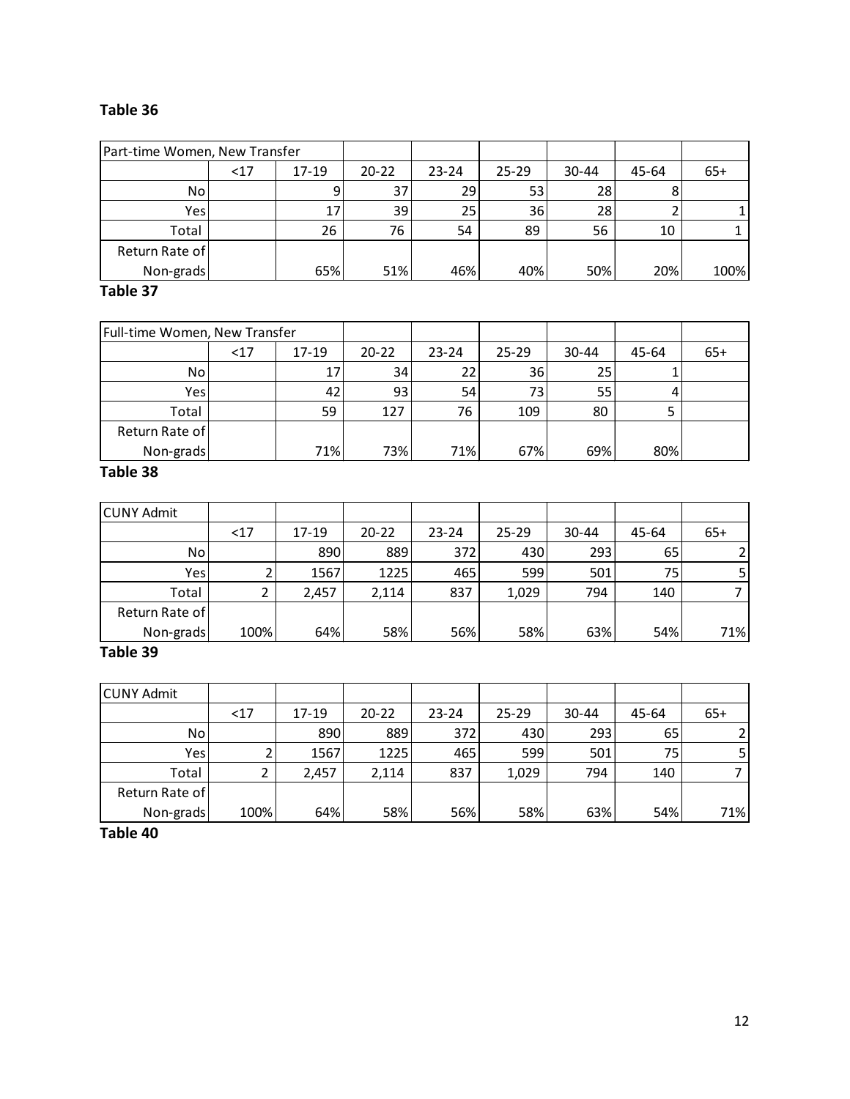| Part-time Women, New Transfer |           |           |           |           |           |       |       |
|-------------------------------|-----------|-----------|-----------|-----------|-----------|-------|-------|
| $17$                          | $17 - 19$ | $20 - 22$ | $23 - 24$ | $25 - 29$ | $30 - 44$ | 45-64 | $65+$ |
|                               | 9         | 37        | 29        | 53        | 28        |       |       |
|                               | 17        | 39        | 25        | 36        | 28        |       |       |
|                               | 26        | 76        | 54        | 89        | 56        | 10    |       |
|                               |           |           |           |           |           |       |       |
|                               | 65%       |           | 46%       | 40%       | 50%       | 20%   | 100%  |
|                               |           |           |           | 51%       |           |       |       |

#### **Table 37**

| Full-time Women, New Transfer |      |       |           |           |           |           |       |       |
|-------------------------------|------|-------|-----------|-----------|-----------|-----------|-------|-------|
|                               | $17$ | 17-19 | $20 - 22$ | $23 - 24$ | $25 - 29$ | $30 - 44$ | 45-64 | $65+$ |
| No.                           |      | 17    | 34        | 22        | 36        | 25        |       |       |
| Yes                           |      | 42    | 93        | 54        | 73        | 55        | 4     |       |
| Total                         |      | 59    | 127       | 76        | 109       | 80        |       |       |
| Return Rate of                |      |       |           |           |           |           |       |       |
| Non-grads                     |      | 71%   | 73%       | 71%       | 67%       | 69%       | 80%   |       |

#### **Table 38**

| <b>CUNY Admit</b> |      |       |           |           |           |           |       |                |
|-------------------|------|-------|-----------|-----------|-----------|-----------|-------|----------------|
|                   | <17  | 17-19 | $20 - 22$ | $23 - 24$ | $25 - 29$ | $30 - 44$ | 45-64 | $65+$          |
| No.               |      | 890   | 889       | 372       | 430       | 293       | 65    |                |
| Yes               |      | 1567  | 1225      | 465       | 599       | 501       | 75    | 5 <sub>l</sub> |
| Total             |      | 2,457 | 2,114     | 837       | 1,029     | 794       | 140   |                |
| Return Rate of    |      |       |           |           |           |           |       |                |
| Non-grads         | 100% | 64%   | 58%       | 56%       | 58%       | 63%       | 54%   | 71%            |

# **Table 39**

| <b>CUNY Admit</b> |      |       |           |           |           |       |       |       |
|-------------------|------|-------|-----------|-----------|-----------|-------|-------|-------|
|                   | <17  | 17-19 | $20 - 22$ | $23 - 24$ | $25 - 29$ | 30-44 | 45-64 | $65+$ |
| No.               |      | 890   | 889       | 372       | 430       | 293   | 65    |       |
| Yes               |      | 1567  | 1225      | 465       | 599       | 501   | 75    |       |
| Total             |      | 2,457 | 2,114     | 837       | 1,029     | 794   | 140   |       |
| Return Rate of    |      |       |           |           |           |       |       |       |
| Non-grads         | 100% | 64%   | 58%       | 56%       | 58%       | 63%   | 54%   | 71%   |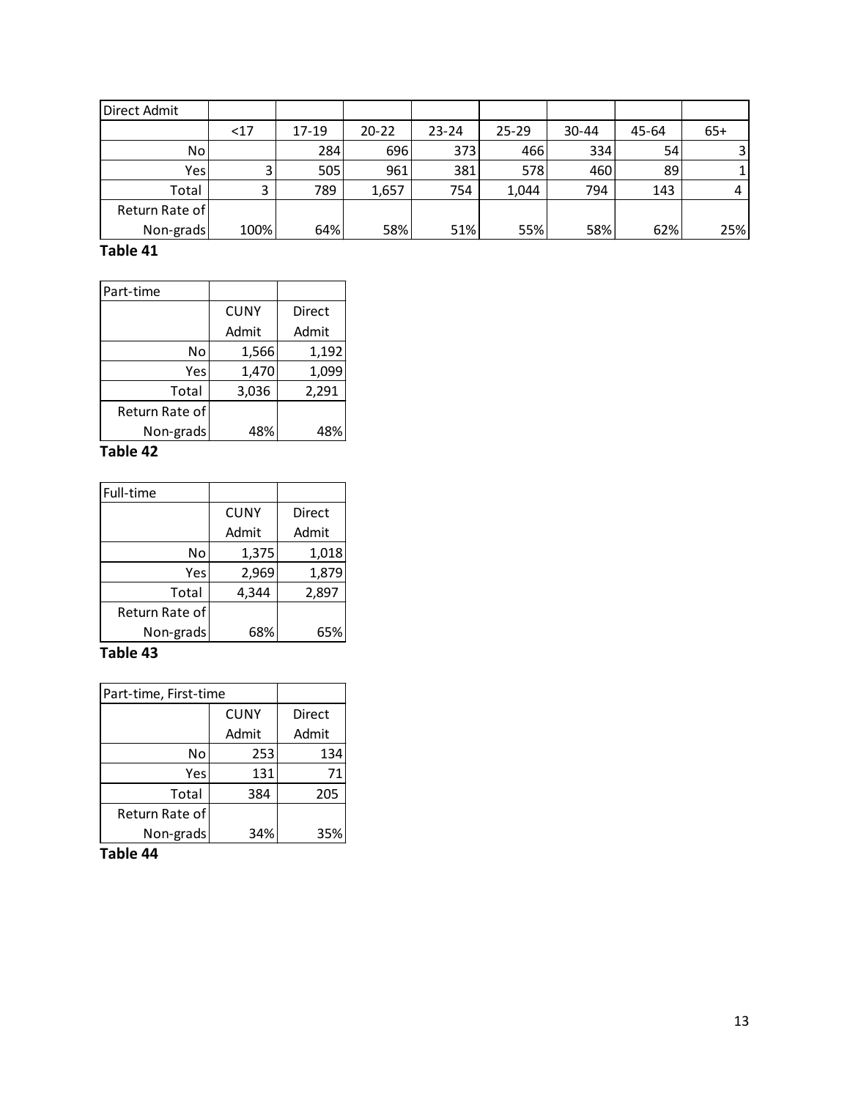| Direct Admit   |      |       |           |           |           |           |       |                |
|----------------|------|-------|-----------|-----------|-----------|-----------|-------|----------------|
|                | $17$ | 17-19 | $20 - 22$ | $23 - 24$ | $25 - 29$ | $30 - 44$ | 45-64 | $65+$          |
| No             |      | 284I  | 696       | 373       | 466       | 334       | 54    | $\overline{3}$ |
| Yes            |      | 505   | 961       | 381       | 578       | 460       | 89    |                |
| Total          |      | 789   | 1,657     | 754       | 1,044     | 794       | 143   | 4              |
| Return Rate of |      |       |           |           |           |           |       |                |
| Non-grads      | 100% | 64%   | 58%       | 51%       | 55%       | 58%       | 62%   | 25%            |

| Part-time      |             |        |
|----------------|-------------|--------|
|                | <b>CUNY</b> | Direct |
|                | Admit       | Admit  |
| No             | 1,566       | 1,192  |
| Yes            | 1,470       | 1,099  |
| Total          | 3,036       | 2,291  |
| Return Rate of |             |        |
| Non-grads      | 48%         | 48%    |

### **Table 42**

| Full-time      |             |        |
|----------------|-------------|--------|
|                | <b>CUNY</b> | Direct |
|                | Admit       | Admit  |
| No             | 1,375       | 1,018  |
| Yes            | 2,969       | 1,879  |
| Total          | 4,344       | 2,897  |
| Return Rate of |             |        |
| Non-grads      | 68%         | 65%    |

# **Table 43**

| Part-time, First-time |             |        |
|-----------------------|-------------|--------|
|                       | <b>CUNY</b> | Direct |
|                       | Admit       | Admit  |
| No                    | 253         | 134    |
| Yes                   | 131         | 71     |
| Total                 | 384         | 205    |
| Return Rate of        |             |        |
| Non-grads             | 34%         | 35%    |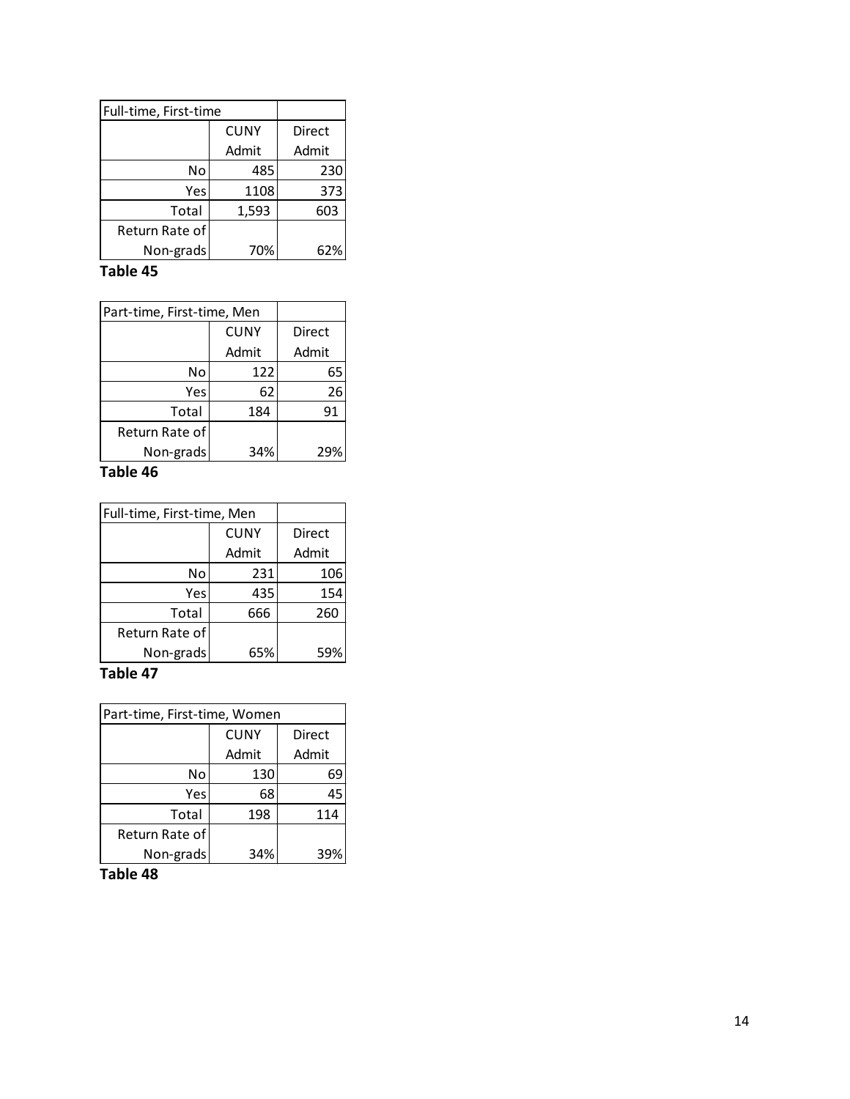| Full-time, First-time |             |        |
|-----------------------|-------------|--------|
|                       | <b>CUNY</b> | Direct |
|                       | Admit       | Admit  |
| No                    | 485         | 230    |
| Yes                   | 1108        | 373    |
| Total                 | 1,593       | 603    |
| Return Rate of        |             |        |
| Non-grads             | 70%         | 62%    |

| Part-time, First-time, Men |             |        |
|----------------------------|-------------|--------|
|                            | <b>CUNY</b> | Direct |
|                            | Admit       | Admit  |
| No                         | 122         | 65     |
| Yes                        | 62          | 26     |
| Total                      | 184         | 91     |
| Return Rate of             |             |        |
| Non-grads                  | 34%         | 299    |

### **Table 46**

| Full-time, First-time, Men |             |        |
|----------------------------|-------------|--------|
|                            | <b>CUNY</b> | Direct |
|                            | Admit       | Admit  |
| No                         | 231         | 106    |
| <b>Yes</b>                 | 435         | 154    |
| Total                      | 666         | 260    |
| Return Rate of             |             |        |
| Non-grads                  | 65%         | 59%    |

# **Table 47**

| Part-time, First-time, Women |             |        |  |  |  |
|------------------------------|-------------|--------|--|--|--|
|                              | <b>CUNY</b> | Direct |  |  |  |
|                              | Admit       | Admit  |  |  |  |
| No                           | 130         | 69     |  |  |  |
| Yes                          | 68          | 45     |  |  |  |
| Total                        | 198         | 114    |  |  |  |
| Return Rate of               |             |        |  |  |  |
| Non-grads                    | 34%         | 39     |  |  |  |